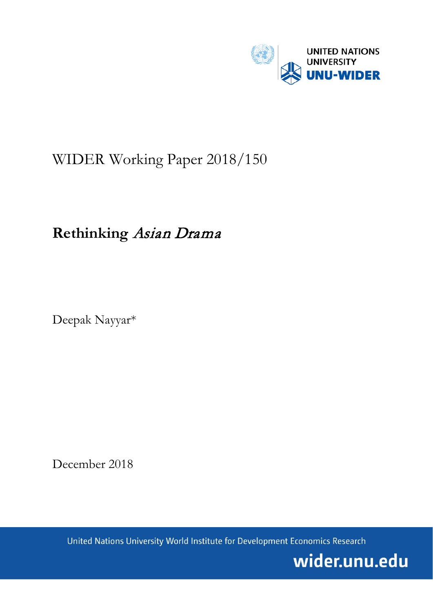

# WIDER Working Paper 2018/150

# **Rethinking** Asian Drama

Deepak Nayyar\*

December 2018

United Nations University World Institute for Development Economics Research

wider.unu.edu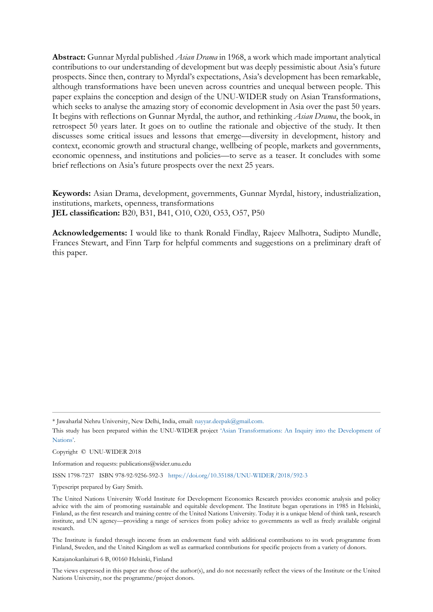**Abstract:** Gunnar Myrdal published *Asian Drama* in 1968, a work which made important analytical contributions to our understanding of development but was deeply pessimistic about Asia's future prospects. Since then, contrary to Myrdal's expectations, Asia's development has been remarkable, although transformations have been uneven across countries and unequal between people. This paper explains the conception and design of the UNU-WIDER study on Asian Transformations, which seeks to analyse the amazing story of economic development in Asia over the past 50 years. It begins with reflections on Gunnar Myrdal, the author, and rethinking *Asian Drama*, the book, in retrospect 50 years later. It goes on to outline the rationale and objective of the study. It then discusses some critical issues and lessons that emerge*—*diversity in development, history and context, economic growth and structural change, wellbeing of people, markets and governments, economic openness, and institutions and policies*—*to serve as a teaser. It concludes with some brief reflections on Asia's future prospects over the next 25 years.

**Keywords:** Asian Drama, development, governments, Gunnar Myrdal, history, industrialization, institutions, markets, openness, transformations **JEL classification:** B20, B31, B41, O10, O20, O53, O57, P50

**Acknowledgements:** I would like to thank Ronald Findlay, Rajeev Malhotra, Sudipto Mundle, Frances Stewart, and Finn Tarp for helpful comments and suggestions on a preliminary draft of this paper.

Copyright © UNU-WIDER 2018

Information and requests: publications@wider.unu.edu

ISSN 1798-7237 ISBN 978-92-9256-592-3 <https://doi.org/10.35188/UNU-WIDER/2018/592-3>

Typescript prepared by Gary Smith.

The United Nations University World Institute for Development Economics Research provides economic analysis and policy advice with the aim of promoting sustainable and equitable development. The Institute began operations in 1985 in Helsinki, Finland, as the first research and training centre of the United Nations University. Today it is a unique blend of think tank, research institute, and UN agency—providing a range of services from policy advice to governments as well as freely available original research.

The Institute is funded through income from an endowment fund with additional contributions to its work programme from Finland, Sweden, and the United Kingdom as well as earmarked contributions for specific projects from a variety of donors.

Katajanokanlaituri 6 B, 00160 Helsinki, Finland

The views expressed in this paper are those of the author(s), and do not necessarily reflect the views of the Institute or the United Nations University, nor the programme/project donors.

<sup>\*</sup> Jawaharlal Nehru University, New Delhi, India, email: nayyar.deepak@gmail.com.

This study has been prepared within the UNU-WIDER project ['Asian Transformations: An Inquiry into the Development of](https://www.wider.unu.edu/node/151229) [Nations'.](https://www.wider.unu.edu/node/151229)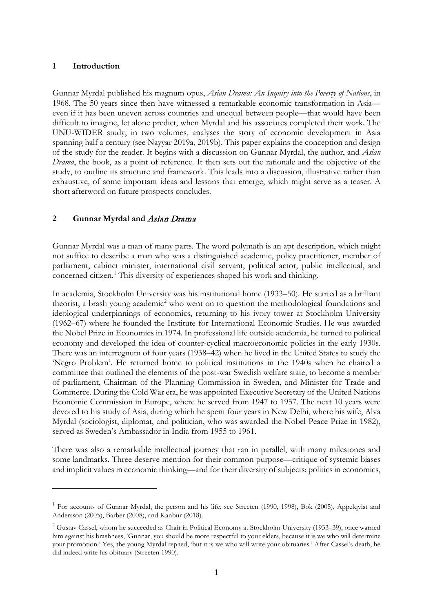### **1 Introduction**

-

Gunnar Myrdal published his magnum opus, *Asian Drama: An Inquiry into the Poverty of Nations*, in 1968. The 50 years since then have witnessed a remarkable economic transformation in Asia even if it has been uneven across countries and unequal between people*—*that would have been difficult to imagine, let alone predict, when Myrdal and his associates completed their work. The UNU-WIDER study, in two volumes, analyses the story of economic development in Asia spanning half a century (see Nayyar 2019a, 2019b). This paper explains the conception and design of the study for the reader. It begins with a discussion on Gunnar Myrdal, the author, and *Asian Drama*, the book, as a point of reference. It then sets out the rationale and the objective of the study, to outline its structure and framework. This leads into a discussion, illustrative rather than exhaustive, of some important ideas and lessons that emerge, which might serve as a teaser. A short afterword on future prospects concludes.

## **2 Gunnar Myrdal and** Asian Drama

Gunnar Myrdal was a man of many parts. The word polymath is an apt description, which might not suffice to describe a man who was a distinguished academic, policy practitioner, member of parliament, cabinet minister, international civil servant, political actor, public intellectual, and concerned citizen.<sup>[1](#page-2-0)</sup> This diversity of experiences shaped his work and thinking.

In academia, Stockholm University was his institutional home (1933–50). He started as a brilliant theorist, a brash young academic<sup>[2](#page-2-1)</sup> who went on to question the methodological foundations and ideological underpinnings of economics, returning to his ivory tower at Stockholm University (1962–67) where he founded the Institute for International Economic Studies. He was awarded the Nobel Prize in Economics in 1974. In professional life outside academia, he turned to political economy and developed the idea of counter-cyclical macroeconomic policies in the early 1930s. There was an interregnum of four years (1938–42) when he lived in the United States to study the 'Negro Problem'. He returned home to political institutions in the 1940s when he chaired a committee that outlined the elements of the post-war Swedish welfare state, to become a member of parliament, Chairman of the Planning Commission in Sweden, and Minister for Trade and Commerce. During the Cold War era, he was appointed Executive Secretary of the United Nations Economic Commission in Europe, where he served from 1947 to 1957. The next 10 years were devoted to his study of Asia, during which he spent four years in New Delhi, where his wife, Alva Myrdal (sociologist, diplomat, and politician, who was awarded the Nobel Peace Prize in 1982), served as Sweden's Ambassador in India from 1955 to 1961.

There was also a remarkable intellectual journey that ran in parallel, with many milestones and some landmarks. Three deserve mention for their common purpose*—*critique of systemic biases and implicit values in economic thinking*—*and for their diversity of subjects: politics in economics,

<span id="page-2-0"></span> $1$  For accounts of Gunnar Myrdal, the person and his life, see Streeten (1990, 1998), Bok (2005), Appelqvist and Andersson (2005), Barber (2008), and Kanbur (2018).

<span id="page-2-1"></span><sup>&</sup>lt;sup>2</sup> Gustav Cassel, whom he succeeded as Chair in Political Economy at Stockholm University (1933–39), once warned him against his brashness, 'Gunnar, you should be more respectful to your elders, because it is we who will determine your promotion.' Yes, the young Myrdal replied, 'but it is we who will write your obituaries.' After Cassel's death, he did indeed write his obituary (Streeten 1990).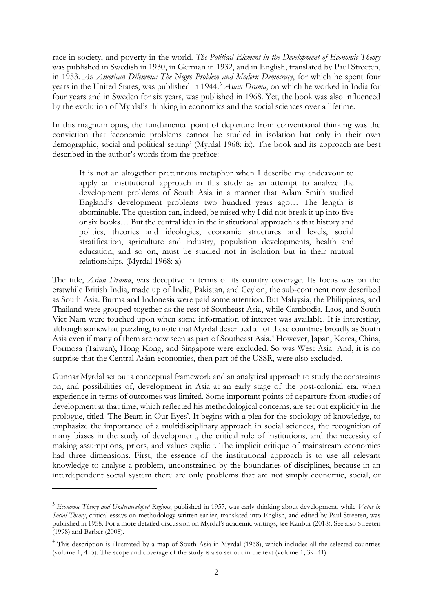race in society, and poverty in the world. *The Political Element in the Development of Economic Theory*  was published in Swedish in 1930, in German in 1932, and in English, translated by Paul Streeten, in 1953. *An American Dilemma: The Negro Problem and Modern Democracy*, for which he spent four years in the United States, was published in 1944.<sup>[3](#page-3-0)</sup> *Asian Drama*, on which he worked in India for four years and in Sweden for six years, was published in 1968. Yet, the book was also influenced by the evolution of Myrdal's thinking in economics and the social sciences over a lifetime.

In this magnum opus, the fundamental point of departure from conventional thinking was the conviction that 'economic problems cannot be studied in isolation but only in their own demographic, social and political setting' (Myrdal 1968: ix). The book and its approach are best described in the author's words from the preface:

It is not an altogether pretentious metaphor when I describe my endeavour to apply an institutional approach in this study as an attempt to analyze the development problems of South Asia in a manner that Adam Smith studied England's development problems two hundred years ago… The length is abominable. The question can, indeed, be raised why I did not break it up into five or six books… But the central idea in the institutional approach is that history and politics, theories and ideologies, economic structures and levels, social stratification, agriculture and industry, population developments, health and education, and so on, must be studied not in isolation but in their mutual relationships. (Myrdal 1968: x)

The title, *Asian Drama*, was deceptive in terms of its country coverage. Its focus was on the erstwhile British India, made up of India, Pakistan, and Ceylon, the sub-continent now described as South Asia. Burma and Indonesia were paid some attention. But Malaysia, the Philippines, and Thailand were grouped together as the rest of Southeast Asia, while Cambodia, Laos, and South Viet Nam were touched upon when some information of interest was available. It is interesting, although somewhat puzzling, to note that Myrdal described all of these countries broadly as South Asia even if many of them are now seen as part of Southeast Asia.<sup>[4](#page-3-1)</sup> However, Japan, Korea, China, Formosa (Taiwan), Hong Kong, and Singapore were excluded. So was West Asia. And, it is no surprise that the Central Asian economies, then part of the USSR, were also excluded.

Gunnar Myrdal set out a conceptual framework and an analytical approach to study the constraints on, and possibilities of, development in Asia at an early stage of the post-colonial era, when experience in terms of outcomes was limited. Some important points of departure from studies of development at that time, which reflected his methodological concerns, are set out explicitly in the prologue, titled 'The Beam in Our Eyes'. It begins with a plea for the sociology of knowledge, to emphasize the importance of a multidisciplinary approach in social sciences, the recognition of many biases in the study of development, the critical role of institutions, and the necessity of making assumptions, priors, and values explicit. The implicit critique of mainstream economics had three dimensions. First, the essence of the institutional approach is to use all relevant knowledge to analyse a problem, unconstrained by the boundaries of disciplines, because in an interdependent social system there are only problems that are not simply economic, social, or

<span id="page-3-0"></span><sup>3</sup> *Economic Theory and Underdeveloped Regions*, published in 1957, was early thinking about development, while *Value in Social Theory*, critical essays on methodology written earlier, translated into English, and edited by Paul Streeten, was published in 1958. For a more detailed discussion on Myrdal's academic writings, see Kanbur (2018). See also Streeten (1998) and Barber (2008).

<span id="page-3-1"></span><sup>&</sup>lt;sup>4</sup> This description is illustrated by a map of South Asia in Myrdal (1968), which includes all the selected countries (volume 1, 4–5). The scope and coverage of the study is also set out in the text (volume 1, 39–41).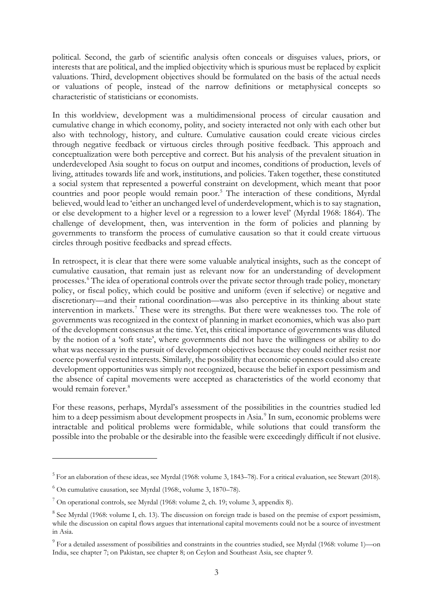political. Second, the garb of scientific analysis often conceals or disguises values, priors, or interests that are political, and the implied objectivity which is spurious must be replaced by explicit valuations. Third, development objectives should be formulated on the basis of the actual needs or valuations of people, instead of the narrow definitions or metaphysical concepts so characteristic of statisticians or economists.

In this worldview, development was a multidimensional process of circular causation and cumulative change in which economy, polity, and society interacted not only with each other but also with technology, history, and culture. Cumulative causation could create vicious circles through negative feedback or virtuous circles through positive feedback. This approach and conceptualization were both perceptive and correct. But his analysis of the prevalent situation in underdeveloped Asia sought to focus on output and incomes, conditions of production, levels of living, attitudes towards life and work, institutions, and policies. Taken together, these constituted a social system that represented a powerful constraint on development, which meant that poor countries and poor people would remain poor.<sup>[5](#page-4-0)</sup> The interaction of these conditions, Myrdal believed, would lead to 'either an unchanged level of underdevelopment, which is to say stagnation, or else development to a higher level or a regression to a lower level' (Myrdal 1968: 1864). The challenge of development, then, was intervention in the form of policies and planning by governments to transform the process of cumulative causation so that it could create virtuous circles through positive feedbacks and spread effects.

In retrospect, it is clear that there were some valuable analytical insights, such as the concept of cumulative causation, that remain just as relevant now for an understanding of development processes. [6](#page-4-1) The idea of operational controls over the private sector through trade policy, monetary policy, or fiscal policy, which could be positive and uniform (even if selective) or negative and discretionary*—*and their rational coordination*—*was also perceptive in its thinking about state intervention in markets.[7](#page-4-2) These were its strengths. But there were weaknesses too. The role of governments was recognized in the context of planning in market economies, which was also part of the development consensus at the time. Yet, this critical importance of governments was diluted by the notion of a 'soft state', where governments did not have the willingness or ability to do what was necessary in the pursuit of development objectives because they could neither resist nor coerce powerful vested interests. Similarly, the possibility that economic openness could also create development opportunities was simply not recognized, because the belief in export pessimism and the absence of capital movements were accepted as characteristics of the world economy that would remain forever.<sup>[8](#page-4-3)</sup>

For these reasons, perhaps, Myrdal's assessment of the possibilities in the countries studied led him to a deep pessimism about development prospects in Asia.<sup>[9](#page-4-4)</sup> In sum, economic problems were intractable and political problems were formidable, while solutions that could transform the possible into the probable or the desirable into the feasible were exceedingly difficult if not elusive.

<u>.</u>

<span id="page-4-0"></span><sup>&</sup>lt;sup>5</sup> For an elaboration of these ideas, see Myrdal (1968: volume 3, 1843–78). For a critical evaluation, see Stewart (2018).

<span id="page-4-1"></span> $6$  On cumulative causation, see Myrdal (1968:, volume 3, 1870–78).

<span id="page-4-2"></span> $<sup>7</sup>$  On operational controls, see Myrdal (1968: volume 2, ch. 19; volume 3, appendix 8).</sup>

<span id="page-4-3"></span><sup>&</sup>lt;sup>8</sup> See Myrdal (1968: volume I, ch. 13). The discussion on foreign trade is based on the premise of export pessimism, while the discussion on capital flows argues that international capital movements could not be a source of investment in Asia.

<span id="page-4-4"></span><sup>&</sup>lt;sup>9</sup> For a detailed assessment of possibilities and constraints in the countries studied, see Myrdal (1968: volume 1)—on India, see chapter 7; on Pakistan, see chapter 8; on Ceylon and Southeast Asia, see chapter 9.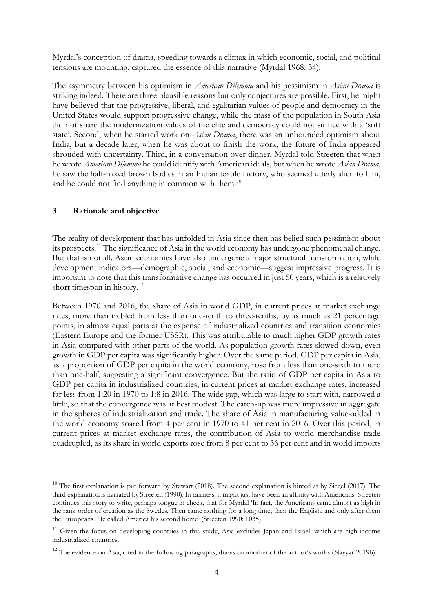Myrdal's conception of drama, speeding towards a climax in which economic, social, and political tensions are mounting, captured the essence of this narrative (Myrdal 1968: 34).

The asymmetry between his optimism in *American Dilemma* and his pessimism in *Asian Drama* is striking indeed. There are three plausible reasons but only conjectures are possible. First, he might have believed that the progressive, liberal, and egalitarian values of people and democracy in the United States would support progressive change, while the mass of the population in South Asia did not share the modernization values of the elite and democracy could not suffice with a 'soft state'. Second, when he started work on *Asian Drama*, there was an unbounded optimism about India, but a decade later, when he was about to finish the work, the future of India appeared shrouded with uncertainty. Third, in a conversation over dinner, Myrdal told Streeten that when he wrote *American Dilemma* he could identify with American ideals, but when he wrote *Asian Drama*, he saw the half-naked brown bodies in an Indian textile factory, who seemed utterly alien to him, and he could not find anything in common with them.<sup>[10](#page-5-0)</sup>

## **3 Rationale and objective**

-

The reality of development that has unfolded in Asia since then has belied such pessimism about its prospects.<sup>[11](#page-5-1)</sup> The significance of Asia in the world economy has undergone phenomenal change. But that is not all. Asian economies have also undergone a major structural transformation, while development indicators*—*demographic, social, and economic*—*suggest impressive progress. It is important to note that this transformative change has occurred in just 50 years, which is a relatively short timespan in history.<sup>[12](#page-5-2)</sup>

Between 1970 and 2016, the share of Asia in world GDP, in current prices at market exchange rates, more than trebled from less than one-tenth to three-tenths, by as much as 21 percentage points, in almost equal parts at the expense of industrialized countries and transition economies (Eastern Europe and the former USSR). This was attributable to much higher GDP growth rates in Asia compared with other parts of the world. As population growth rates slowed down, even growth in GDP per capita was significantly higher. Over the same period, GDP per capita in Asia, as a proportion of GDP per capita in the world economy, rose from less than one-sixth to more than one-half, suggesting a significant convergence. But the ratio of GDP per capita in Asia to GDP per capita in industrialized countries, in current prices at market exchange rates, increased far less from 1:20 in 1970 to 1:8 in 2016. The wide gap, which was large to start with, narrowed a little, so that the convergence was at best modest. The catch-up was more impressive in aggregate in the spheres of industrialization and trade. The share of Asia in manufacturing value-added in the world economy soared from 4 per cent in 1970 to 41 per cent in 2016. Over this period, in current prices at market exchange rates, the contribution of Asia to world merchandise trade quadrupled, as its share in world exports rose from 8 per cent to 36 per cent and in world imports

<span id="page-5-0"></span> $10$  The first explanation is put forward by Stewart (2018). The second explanation is hinted at by Siegel (2017). The third explanation is narrated by Streeten (1990). In fairness, it might just have been an affinity with Americans. Streeten continues this story to write, perhaps tongue in cheek, that for Myrdal 'In fact, the Americans came almost as high in the rank order of creation as the Swedes. Then came nothing for a long time; then the English, and only after them the Europeans. He called America his second home' (Streeten 1990: 1035).

<span id="page-5-1"></span><sup>&</sup>lt;sup>11</sup> Given the focus on developing countries in this study, Asia excludes Japan and Israel, which are high-income industrialized countries.

<span id="page-5-2"></span><sup>&</sup>lt;sup>12</sup> The evidence on Asia, cited in the following paragraphs, draws on another of the author's works (Nayyar 2019b).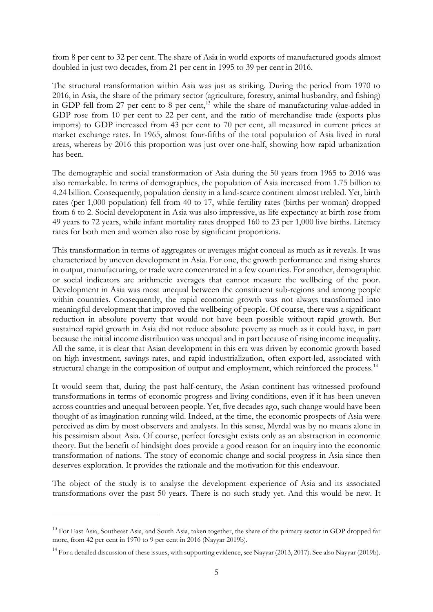from 8 per cent to 32 per cent. The share of Asia in world exports of manufactured goods almost doubled in just two decades, from 21 per cent in 1995 to 39 per cent in 2016.

The structural transformation within Asia was just as striking. During the period from 1970 to 2016, in Asia, the share of the primary sector (agriculture, forestry, animal husbandry, and fishing) in GDP fell from 27 per cent to 8 per cent,<sup>[13](#page-6-0)</sup> while the share of manufacturing value-added in GDP rose from 10 per cent to 22 per cent, and the ratio of merchandise trade (exports plus imports) to GDP increased from 43 per cent to 70 per cent, all measured in current prices at market exchange rates. In 1965, almost four-fifths of the total population of Asia lived in rural areas, whereas by 2016 this proportion was just over one-half, showing how rapid urbanization has been.

The demographic and social transformation of Asia during the 50 years from 1965 to 2016 was also remarkable. In terms of demographics, the population of Asia increased from 1.75 billion to 4.24 billion. Consequently, population density in a land-scarce continent almost trebled. Yet, birth rates (per 1,000 population) fell from 40 to 17, while fertility rates (births per woman) dropped from 6 to 2. Social development in Asia was also impressive, as life expectancy at birth rose from 49 years to 72 years, while infant mortality rates dropped 160 to 23 per 1,000 live births. Literacy rates for both men and women also rose by significant proportions.

This transformation in terms of aggregates or averages might conceal as much as it reveals. It was characterized by uneven development in Asia. For one, the growth performance and rising shares in output, manufacturing, or trade were concentrated in a few countries. For another, demographic or social indicators are arithmetic averages that cannot measure the wellbeing of the poor. Development in Asia was most unequal between the constituent sub-regions and among people within countries. Consequently, the rapid economic growth was not always transformed into meaningful development that improved the wellbeing of people. Of course, there was a significant reduction in absolute poverty that would not have been possible without rapid growth. But sustained rapid growth in Asia did not reduce absolute poverty as much as it could have, in part because the initial income distribution was unequal and in part because of rising income inequality. All the same, it is clear that Asian development in this era was driven by economic growth based on high investment, savings rates, and rapid industrialization, often export-led, associated with structural change in the composition of output and employment, which reinforced the process.<sup>[14](#page-6-1)</sup>

It would seem that, during the past half-century, the Asian continent has witnessed profound transformations in terms of economic progress and living conditions, even if it has been uneven across countries and unequal between people. Yet, five decades ago, such change would have been thought of as imagination running wild. Indeed, at the time, the economic prospects of Asia were perceived as dim by most observers and analysts. In this sense, Myrdal was by no means alone in his pessimism about Asia. Of course, perfect foresight exists only as an abstraction in economic theory. But the benefit of hindsight does provide a good reason for an inquiry into the economic transformation of nations. The story of economic change and social progress in Asia since then deserves exploration. It provides the rationale and the motivation for this endeavour.

The object of the study is to analyse the development experience of Asia and its associated transformations over the past 50 years. There is no such study yet. And this would be new. It

<u>.</u>

<span id="page-6-0"></span><sup>&</sup>lt;sup>13</sup> For East Asia, Southeast Asia, and South Asia, taken together, the share of the primary sector in GDP dropped far more, from 42 per cent in 1970 to 9 per cent in 2016 (Nayyar 2019b).

<span id="page-6-1"></span><sup>&</sup>lt;sup>14</sup> For a detailed discussion of these issues, with supporting evidence, see Nayyar (2013, 2017). See also Nayyar (2019b).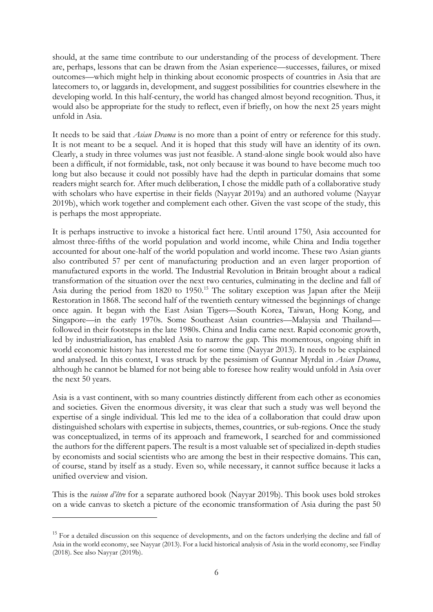should, at the same time contribute to our understanding of the process of development. There are, perhaps, lessons that can be drawn from the Asian experience*—*successes, failures, or mixed outcomes*—*which might help in thinking about economic prospects of countries in Asia that are latecomers to, or laggards in, development, and suggest possibilities for countries elsewhere in the developing world. In this half-century, the world has changed almost beyond recognition. Thus, it would also be appropriate for the study to reflect, even if briefly, on how the next 25 years might unfold in Asia.

It needs to be said that *Asian Drama* is no more than a point of entry or reference for this study. It is not meant to be a sequel. And it is hoped that this study will have an identity of its own. Clearly, a study in three volumes was just not feasible. A stand-alone single book would also have been a difficult, if not formidable, task, not only because it was bound to have become much too long but also because it could not possibly have had the depth in particular domains that some readers might search for. After much deliberation, I chose the middle path of a collaborative study with scholars who have expertise in their fields (Nayyar 2019a) and an authored volume (Nayyar 2019b), which work together and complement each other. Given the vast scope of the study, this is perhaps the most appropriate.

It is perhaps instructive to invoke a historical fact here. Until around 1750, Asia accounted for almost three-fifths of the world population and world income, while China and India together accounted for about one-half of the world population and world income. These two Asian giants also contributed 57 per cent of manufacturing production and an even larger proportion of manufactured exports in the world. The Industrial Revolution in Britain brought about a radical transformation of the situation over the next two centuries, culminating in the decline and fall of Asia during the period from 1820 to 1950.<sup>[15](#page-7-0)</sup> The solitary exception was Japan after the Meiji Restoration in 1868. The second half of the twentieth century witnessed the beginnings of change once again. It began with the East Asian Tigers*—*South Korea, Taiwan, Hong Kong, and Singapore*—*in the early 1970s. Some Southeast Asian countries*—*Malaysia and Thailand followed in their footsteps in the late 1980s. China and India came next. Rapid economic growth, led by industrialization, has enabled Asia to narrow the gap. This momentous, ongoing shift in world economic history has interested me for some time (Nayyar 2013). It needs to be explained and analysed. In this context, I was struck by the pessimism of Gunnar Myrdal in *Asian Drama*, although he cannot be blamed for not being able to foresee how reality would unfold in Asia over the next 50 years.

Asia is a vast continent, with so many countries distinctly different from each other as economies and societies. Given the enormous diversity, it was clear that such a study was well beyond the expertise of a single individual. This led me to the idea of a collaboration that could draw upon distinguished scholars with expertise in subjects, themes, countries, or sub-regions. Once the study was conceptualized, in terms of its approach and framework, I searched for and commissioned the authors for the different papers. The result is a most valuable set of specialized in-depth studies by economists and social scientists who are among the best in their respective domains. This can, of course, stand by itself as a study. Even so, while necessary, it cannot suffice because it lacks a unified overview and vision.

This is the *raison d'être* for a separate authored book (Nayyar 2019b). This book uses bold strokes on a wide canvas to sketch a picture of the economic transformation of Asia during the past 50

<span id="page-7-0"></span><sup>&</sup>lt;sup>15</sup> For a detailed discussion on this sequence of developments, and on the factors underlying the decline and fall of Asia in the world economy, see Nayyar (2013). For a lucid historical analysis of Asia in the world economy, see Findlay (2018). See also Nayyar (2019b).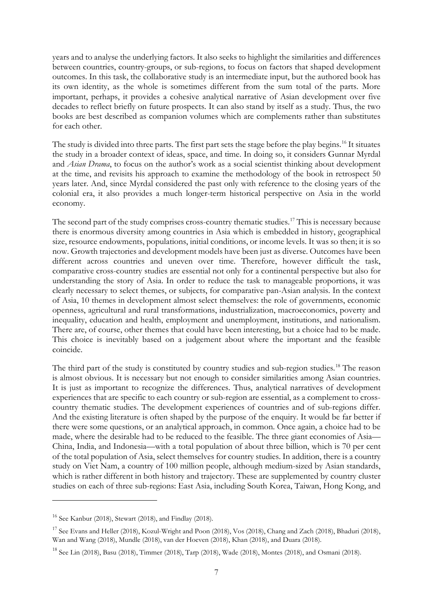years and to analyse the underlying factors. It also seeks to highlight the similarities and differences between countries, country-groups, or sub-regions, to focus on factors that shaped development outcomes. In this task, the collaborative study is an intermediate input, but the authored book has its own identity, as the whole is sometimes different from the sum total of the parts. More important, perhaps, it provides a cohesive analytical narrative of Asian development over five decades to reflect briefly on future prospects. It can also stand by itself as a study. Thus, the two books are best described as companion volumes which are complements rather than substitutes for each other.

The study is divided into three parts. The first part sets the stage before the play begins.<sup>[16](#page-8-0)</sup> It situates the study in a broader context of ideas, space, and time. In doing so, it considers Gunnar Myrdal and *Asian Drama*, to focus on the author's work as a social scientist thinking about development at the time, and revisits his approach to examine the methodology of the book in retrospect 50 years later. And, since Myrdal considered the past only with reference to the closing years of the colonial era, it also provides a much longer-term historical perspective on Asia in the world economy.

The second part of the study comprises cross-country thematic studies.<sup>[17](#page-8-1)</sup> This is necessary because there is enormous diversity among countries in Asia which is embedded in history, geographical size, resource endowments, populations, initial conditions, or income levels. It was so then; it is so now. Growth trajectories and development models have been just as diverse. Outcomes have been different across countries and uneven over time. Therefore, however difficult the task, comparative cross-country studies are essential not only for a continental perspective but also for understanding the story of Asia. In order to reduce the task to manageable proportions, it was clearly necessary to select themes, or subjects, for comparative pan-Asian analysis. In the context of Asia, 10 themes in development almost select themselves: the role of governments, economic openness, agricultural and rural transformations, industrialization, macroeconomics, poverty and inequality, education and health, employment and unemployment, institutions, and nationalism. There are, of course, other themes that could have been interesting, but a choice had to be made. This choice is inevitably based on a judgement about where the important and the feasible coincide.

The third part of the study is constituted by country studies and sub-region studies.<sup>[18](#page-8-2)</sup> The reason is almost obvious. It is necessary but not enough to consider similarities among Asian countries. It is just as important to recognize the differences. Thus, analytical narratives of development experiences that are specific to each country or sub-region are essential, as a complement to crosscountry thematic studies. The development experiences of countries and of sub-regions differ. And the existing literature is often shaped by the purpose of the enquiry. It would be far better if there were some questions, or an analytical approach, in common. Once again, a choice had to be made, where the desirable had to be reduced to the feasible. The three giant economies of Asia*—* China, India, and Indonesia*—*with a total population of about three billion, which is 70 per cent of the total population of Asia, select themselves for country studies. In addition, there is a country study on Viet Nam, a country of 100 million people, although medium-sized by Asian standards, which is rather different in both history and trajectory. These are supplemented by country cluster studies on each of three sub-regions: East Asia, including South Korea, Taiwan, Hong Kong, and

<span id="page-8-0"></span> $16$  See Kanbur (2018), Stewart (2018), and Findlay (2018).

<span id="page-8-1"></span><sup>&</sup>lt;sup>17</sup> See Evans and Heller (2018), Kozul-Wright and Poon (2018), Vos (2018), Chang and Zach (2018), Bhaduri (2018), Wan and Wang (2018), Mundle (2018), van der Hoeven (2018), Khan (2018), and Duara (2018).

<span id="page-8-2"></span><sup>18</sup> See Lin (2018), Basu (2018), Timmer (2018), Tarp (2018), Wade (2018), Montes (2018), and Osmani (2018).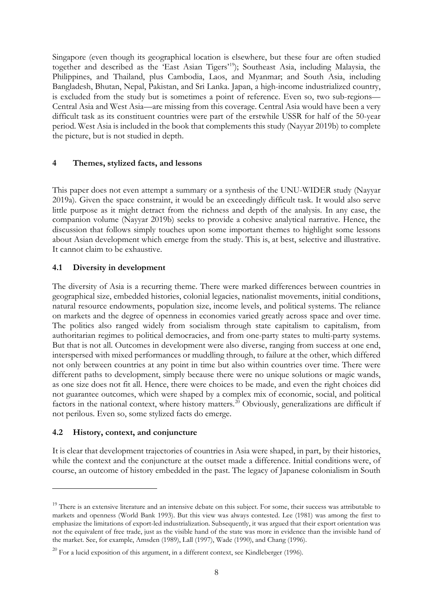Singapore (even though its geographical location is elsewhere, but these four are often studied together and described as the 'East Asian Tigers'[19](#page-9-0)); Southeast Asia, including Malaysia, the Philippines, and Thailand, plus Cambodia, Laos, and Myanmar; and South Asia, including Bangladesh, Bhutan, Nepal, Pakistan, and Sri Lanka. Japan, a high-income industrialized country, is excluded from the study but is sometimes a point of reference. Even so, two sub-regions*—* Central Asia and West Asia*—*are missing from this coverage. Central Asia would have been a very difficult task as its constituent countries were part of the erstwhile USSR for half of the 50-year period. West Asia is included in the book that complements this study (Nayyar 2019b) to complete the picture, but is not studied in depth.

### **4 Themes, stylized facts, and lessons**

This paper does not even attempt a summary or a synthesis of the UNU-WIDER study (Nayyar 2019a)*.* Given the space constraint, it would be an exceedingly difficult task. It would also serve little purpose as it might detract from the richness and depth of the analysis. In any case, the companion volume (Nayyar 2019b) seeks to provide a cohesive analytical narrative. Hence, the discussion that follows simply touches upon some important themes to highlight some lessons about Asian development which emerge from the study. This is, at best, selective and illustrative. It cannot claim to be exhaustive.

### **4.1 Diversity in development**

The diversity of Asia is a recurring theme. There were marked differences between countries in geographical size, embedded histories, colonial legacies, nationalist movements, initial conditions, natural resource endowments, population size, income levels, and political systems. The reliance on markets and the degree of openness in economies varied greatly across space and over time. The politics also ranged widely from socialism through state capitalism to capitalism, from authoritarian regimes to political democracies, and from one-party states to multi-party systems. But that is not all. Outcomes in development were also diverse, ranging from success at one end, interspersed with mixed performances or muddling through, to failure at the other, which differed not only between countries at any point in time but also within countries over time. There were different paths to development, simply because there were no unique solutions or magic wands, as one size does not fit all. Hence, there were choices to be made, and even the right choices did not guarantee outcomes, which were shaped by a complex mix of economic, social, and political factors in the national context, where history matters.<sup>[20](#page-9-1)</sup> Obviously, generalizations are difficult if not perilous. Even so, some stylized facts do emerge.

## **4.2 History, context, and conjuncture**

-

It is clear that development trajectories of countries in Asia were shaped, in part, by their histories, while the context and the conjuncture at the outset made a difference. Initial conditions were, of course, an outcome of history embedded in the past. The legacy of Japanese colonialism in South

<span id="page-9-0"></span><sup>&</sup>lt;sup>19</sup> There is an extensive literature and an intensive debate on this subject. For some, their success was attributable to markets and openness (World Bank 1993). But this view was always contested. Lee (1981) was among the first to emphasize the limitations of export-led industrialization. Subsequently, it was argued that their export orientation was not the equivalent of free trade, just as the visible hand of the state was more in evidence than the invisible hand of the market. See, for example, Amsden (1989), Lall (1997), Wade (1990), and Chang (1996).

<span id="page-9-1"></span> $20$  For a lucid exposition of this argument, in a different context, see Kindleberger (1996).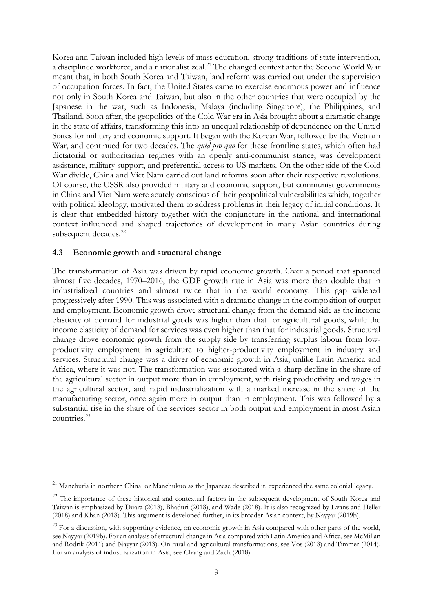Korea and Taiwan included high levels of mass education, strong traditions of state intervention, a disciplined workforce, and a nationalist zeal.<sup>[21](#page-10-0)</sup> The changed context after the Second World War meant that, in both South Korea and Taiwan, land reform was carried out under the supervision of occupation forces. In fact, the United States came to exercise enormous power and influence not only in South Korea and Taiwan, but also in the other countries that were occupied by the Japanese in the war, such as Indonesia, Malaya (including Singapore), the Philippines, and Thailand. Soon after, the geopolitics of the Cold War era in Asia brought about a dramatic change in the state of affairs, transforming this into an unequal relationship of dependence on the United States for military and economic support. It began with the Korean War, followed by the Vietnam War, and continued for two decades. The *quid pro quo* for these frontline states, which often had dictatorial or authoritarian regimes with an openly anti-communist stance, was development assistance, military support, and preferential access to US markets. On the other side of the Cold War divide, China and Viet Nam carried out land reforms soon after their respective revolutions. Of course, the USSR also provided military and economic support, but communist governments in China and Viet Nam were acutely conscious of their geopolitical vulnerabilities which, together with political ideology, motivated them to address problems in their legacy of initial conditions. It is clear that embedded history together with the conjuncture in the national and international context influenced and shaped trajectories of development in many Asian countries during subsequent decades.<sup>[22](#page-10-1)</sup>

#### **4.3 Economic growth and structural change**

-

The transformation of Asia was driven by rapid economic growth. Over a period that spanned almost five decades, 1970–2016, the GDP growth rate in Asia was more than double that in industrialized countries and almost twice that in the world economy. This gap widened progressively after 1990. This was associated with a dramatic change in the composition of output and employment. Economic growth drove structural change from the demand side as the income elasticity of demand for industrial goods was higher than that for agricultural goods, while the income elasticity of demand for services was even higher than that for industrial goods. Structural change drove economic growth from the supply side by transferring surplus labour from lowproductivity employment in agriculture to higher-productivity employment in industry and services. Structural change was a driver of economic growth in Asia, unlike Latin America and Africa, where it was not. The transformation was associated with a sharp decline in the share of the agricultural sector in output more than in employment, with rising productivity and wages in the agricultural sector, and rapid industrialization with a marked increase in the share of the manufacturing sector, once again more in output than in employment. This was followed by a substantial rise in the share of the services sector in both output and employment in most Asian countries.[23](#page-10-2)

<span id="page-10-0"></span> $^{21}$  Manchuria in northern China, or Manchukuo as the Japanese described it, experienced the same colonial legacy.

<span id="page-10-1"></span><sup>&</sup>lt;sup>22</sup> The importance of these historical and contextual factors in the subsequent development of South Korea and Taiwan is emphasized by Duara (2018), Bhaduri (2018), and Wade (2018). It is also recognized by Evans and Heller (2018) and Khan (2018). This argument is developed further, in its broader Asian context, by Nayyar (2019b).

<span id="page-10-2"></span><sup>&</sup>lt;sup>23</sup> For a discussion, with supporting evidence, on economic growth in Asia compared with other parts of the world, see Nayyar (2019b). For an analysis of structural change in Asia compared with Latin America and Africa, see McMillan and Rodrik (2011) and Nayyar (2013). On rural and agricultural transformations, see Vos (2018) and Timmer (2014). For an analysis of industrialization in Asia, see Chang and Zach (2018).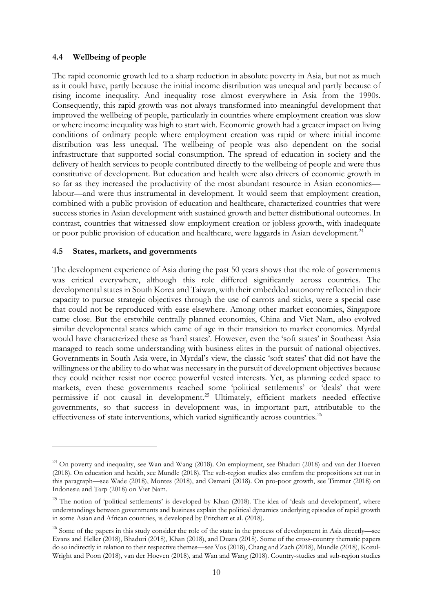## **4.4 Wellbeing of people**

The rapid economic growth led to a sharp reduction in absolute poverty in Asia, but not as much as it could have, partly because the initial income distribution was unequal and partly because of rising income inequality. And inequality rose almost everywhere in Asia from the 1990s. Consequently, this rapid growth was not always transformed into meaningful development that improved the wellbeing of people, particularly in countries where employment creation was slow or where income inequality was high to start with. Economic growth had a greater impact on living conditions of ordinary people where employment creation was rapid or where initial income distribution was less unequal. The wellbeing of people was also dependent on the social infrastructure that supported social consumption. The spread of education in society and the delivery of health services to people contributed directly to the wellbeing of people and were thus constitutive of development. But education and health were also drivers of economic growth in so far as they increased the productivity of the most abundant resource in Asian economies labour*—*and were thus instrumental in development. It would seem that employment creation, combined with a public provision of education and healthcare, characterized countries that were success stories in Asian development with sustained growth and better distributional outcomes. In contrast, countries that witnessed slow employment creation or jobless growth, with inadequate or poor public provision of education and healthcare, were laggards in Asian development.<sup>[24](#page-11-0)</sup>

### **4.5 States, markets, and governments**

<u>.</u>

The development experience of Asia during the past 50 years shows that the role of governments was critical everywhere, although this role differed significantly across countries. The developmental states in South Korea and Taiwan, with their embedded autonomy reflected in their capacity to pursue strategic objectives through the use of carrots and sticks, were a special case that could not be reproduced with ease elsewhere. Among other market economies, Singapore came close. But the erstwhile centrally planned economies, China and Viet Nam, also evolved similar developmental states which came of age in their transition to market economies. Myrdal would have characterized these as 'hard states'. However, even the 'soft states' in Southeast Asia managed to reach some understanding with business elites in the pursuit of national objectives. Governments in South Asia were, in Myrdal's view, the classic 'soft states' that did not have the willingness or the ability to do what was necessary in the pursuit of development objectives because they could neither resist nor coerce powerful vested interests. Yet, as planning ceded space to markets, even these governments reached some 'political settlements' or 'deals' that were permissive if not causal in development[.25](#page-11-1) Ultimately, efficient markets needed effective governments, so that success in development was, in important part, attributable to the effectiveness of state interventions, which varied significantly across countries.<sup>[26](#page-11-2)</sup>

<span id="page-11-0"></span><sup>&</sup>lt;sup>24</sup> On poverty and inequality, see Wan and Wang (2018). On employment, see Bhaduri (2018) and van der Hoeven (2018). On education and health, see Mundle (2018). The sub-region studies also confirm the propositions set out in this paragraph—see Wade (2018), Montes (2018), and Osmani (2018). On pro-poor growth, see Timmer (2018) on Indonesia and Tarp (2018) on Viet Nam.

<span id="page-11-1"></span><sup>&</sup>lt;sup>25</sup> The notion of 'political settlements' is developed by Khan (2018). The idea of 'deals and development', where understandings between governments and business explain the political dynamics underlying episodes of rapid growth in some Asian and African countries, is developed by Pritchett et al. (2018).

<span id="page-11-2"></span><sup>&</sup>lt;sup>26</sup> Some of the papers in this study consider the role of the state in the process of development in Asia directly—see Evans and Heller (2018), Bhaduri (2018), Khan (2018), and Duara (2018). Some of the cross-country thematic papers do so indirectly in relation to their respective themes—see Vos (2018), Chang and Zach (2018), Mundle (2018), Kozul-Wright and Poon (2018), van der Hoeven (2018), and Wan and Wang (2018). Country-studies and sub-region studies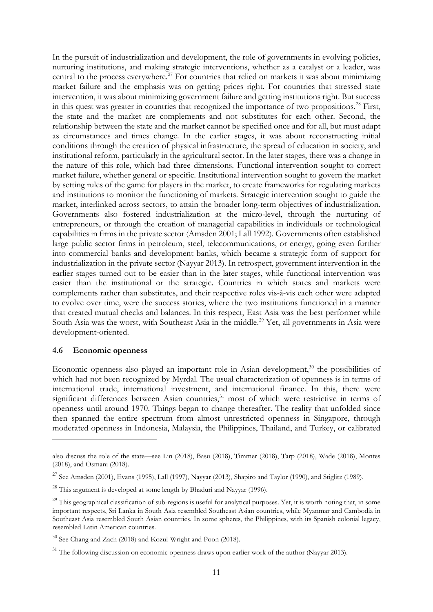In the pursuit of industrialization and development, the role of governments in evolving policies, nurturing institutions, and making strategic interventions, whether as a catalyst or a leader, was central to the process everywhere. [27](#page-12-0) For countries that relied on markets it was about minimizing market failure and the emphasis was on getting prices right. For countries that stressed state intervention, it was about minimizing government failure and getting institutions right. But success in this quest was greater in countries that recognized the importance of two propositions.<sup>[28](#page-12-1)</sup> First, the state and the market are complements and not substitutes for each other. Second, the relationship between the state and the market cannot be specified once and for all, but must adapt as circumstances and times change. In the earlier stages, it was about reconstructing initial conditions through the creation of physical infrastructure, the spread of education in society, and institutional reform, particularly in the agricultural sector. In the later stages, there was a change in the nature of this role, which had three dimensions. Functional intervention sought to correct market failure, whether general or specific. Institutional intervention sought to govern the market by setting rules of the game for players in the market, to create frameworks for regulating markets and institutions to monitor the functioning of markets. Strategic intervention sought to guide the market, interlinked across sectors, to attain the broader long-term objectives of industrialization. Governments also fostered industrialization at the micro-level, through the nurturing of entrepreneurs, or through the creation of managerial capabilities in individuals or technological capabilities in firms in the private sector (Amsden 2001; Lall 1992). Governments often established large public sector firms in petroleum, steel, telecommunications, or energy, going even further into commercial banks and development banks, which became a strategic form of support for industrialization in the private sector (Nayyar 2013). In retrospect, government intervention in the earlier stages turned out to be easier than in the later stages, while functional intervention was easier than the institutional or the strategic. Countries in which states and markets were complements rather than substitutes, and their respective roles vis-à-vis each other were adapted to evolve over time, were the success stories, where the two institutions functioned in a manner that created mutual checks and balances. In this respect, East Asia was the best performer while South Asia was the worst, with Southeast Asia in the middle.<sup>29</sup> Yet, all governments in Asia were development-oriented.

#### **4.6 Economic openness**

-

Economic openness also played an important role in Asian development,<sup>[30](#page-12-3)</sup> the possibilities of which had not been recognized by Myrdal. The usual characterization of openness is in terms of international trade, international investment, and international finance. In this, there were significant differences between Asian countries,<sup>[31](#page-12-4)</sup> most of which were restrictive in terms of openness until around 1970. Things began to change thereafter. The reality that unfolded since then spanned the entire spectrum from almost unrestricted openness in Singapore, through moderated openness in Indonesia, Malaysia, the Philippines, Thailand, and Turkey, or calibrated

also discuss the role of the state—see Lin (2018), Basu (2018), Timmer (2018), Tarp (2018), Wade (2018), Montes (2018), and Osmani (2018).

<span id="page-12-0"></span><sup>&</sup>lt;sup>27</sup> See Amsden (2001), Evans (1995), Lall (1997), Nayyar (2013), Shapiro and Taylor (1990), and Stiglitz (1989).

<span id="page-12-1"></span><sup>&</sup>lt;sup>28</sup> This argument is developed at some length by Bhaduri and Nayyar (1996).

<span id="page-12-2"></span> $^{29}$  This geographical classification of sub-regions is useful for analytical purposes. Yet, it is worth noting that, in some important respects, Sri Lanka in South Asia resembled Southeast Asian countries, while Myanmar and Cambodia in Southeast Asia resembled South Asian countries. In some spheres, the Philippines, with its Spanish colonial legacy, resembled Latin American countries.

<span id="page-12-3"></span><sup>30</sup> See Chang and Zach (2018) and Kozul-Wright and Poon (2018).

<span id="page-12-4"></span><sup>&</sup>lt;sup>31</sup> The following discussion on economic openness draws upon earlier work of the author (Nayyar 2013).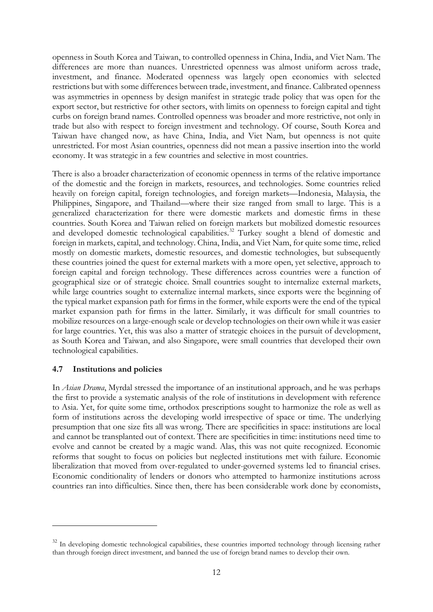openness in South Korea and Taiwan, to controlled openness in China, India, and Viet Nam. The differences are more than nuances. Unrestricted openness was almost uniform across trade, investment, and finance. Moderated openness was largely open economies with selected restrictions but with some differences between trade, investment, and finance. Calibrated openness was asymmetries in openness by design manifest in strategic trade policy that was open for the export sector, but restrictive for other sectors, with limits on openness to foreign capital and tight curbs on foreign brand names. Controlled openness was broader and more restrictive, not only in trade but also with respect to foreign investment and technology. Of course, South Korea and Taiwan have changed now, as have China, India, and Viet Nam, but openness is not quite unrestricted. For most Asian countries, openness did not mean a passive insertion into the world economy. It was strategic in a few countries and selective in most countries.

There is also a broader characterization of economic openness in terms of the relative importance of the domestic and the foreign in markets, resources, and technologies. Some countries relied heavily on foreign capital, foreign technologies, and foreign markets*—*Indonesia, Malaysia, the Philippines, Singapore, and Thailand*—*where their size ranged from small to large. This is a generalized characterization for there were domestic markets and domestic firms in these countries. South Korea and Taiwan relied on foreign markets but mobilized domestic resources and developed domestic technological capabilities.<sup>[32](#page-13-0)</sup> Turkey sought a blend of domestic and foreign in markets, capital, and technology. China, India, and Viet Nam, for quite some time, relied mostly on domestic markets, domestic resources, and domestic technologies, but subsequently these countries joined the quest for external markets with a more open, yet selective, approach to foreign capital and foreign technology. These differences across countries were a function of geographical size or of strategic choice. Small countries sought to internalize external markets, while large countries sought to externalize internal markets, since exports were the beginning of the typical market expansion path for firms in the former, while exports were the end of the typical market expansion path for firms in the latter. Similarly, it was difficult for small countries to mobilize resources on a large-enough scale or develop technologies on their own while it was easier for large countries. Yet, this was also a matter of strategic choices in the pursuit of development, as South Korea and Taiwan, and also Singapore, were small countries that developed their own technological capabilities.

## **4.7 Institutions and policies**

<u>.</u>

In *Asian Drama*, Myrdal stressed the importance of an institutional approach, and he was perhaps the first to provide a systematic analysis of the role of institutions in development with reference to Asia. Yet, for quite some time, orthodox prescriptions sought to harmonize the role as well as form of institutions across the developing world irrespective of space or time. The underlying presumption that one size fits all was wrong. There are specificities in space: institutions are local and cannot be transplanted out of context. There are specificities in time: institutions need time to evolve and cannot be created by a magic wand. Alas, this was not quite recognized. Economic reforms that sought to focus on policies but neglected institutions met with failure. Economic liberalization that moved from over-regulated to under-governed systems led to financial crises. Economic conditionality of lenders or donors who attempted to harmonize institutions across countries ran into difficulties. Since then, there has been considerable work done by economists,

<span id="page-13-0"></span><sup>&</sup>lt;sup>32</sup> In developing domestic technological capabilities, these countries imported technology through licensing rather than through foreign direct investment, and banned the use of foreign brand names to develop their own.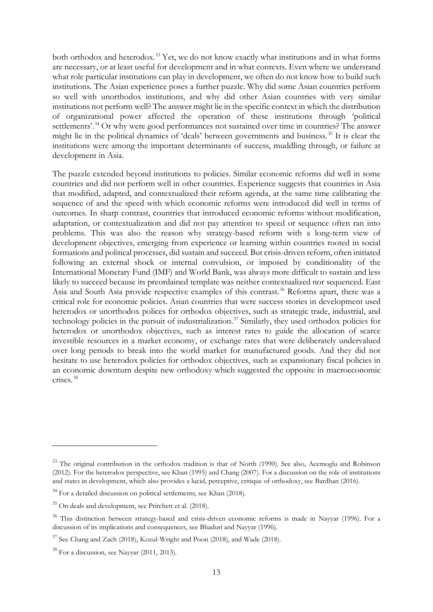both orthodox and heterodox.<sup>[33](#page-14-0)</sup> Yet, we do not know exactly what institutions and in what forms are necessary, or at least useful for development and in what contexts. Even where we understand what role particular institutions can play in development, we often do not know how to build such institutions. The Asian experience poses a further puzzle. Why did some Asian countries perform so well with unorthodox institutions, and why did other Asian countries with very similar institutions not perform well? The answer might lie in the specific context in which the distribution of organizational power affected the operation of these institutions through 'political settlements'.[34](#page-14-1) Or why were good performances not sustained over time in countries? The answer might lie in the political dynamics of 'deals' between governments and business.[35](#page-14-2) It is clear the institutions were among the important determinants of success, muddling through, or failure at development in Asia.

The puzzle extended beyond institutions to policies. Similar economic reforms did well in some countries and did not perform well in other countries. Experience suggests that countries in Asia that modified, adapted, and contextualized their reform agenda, at the same time calibrating the sequence of and the speed with which economic reforms were introduced did well in terms of outcomes. In sharp contrast, countries that introduced economic reforms without modification, adaptation, or contextualization and did not pay attention to speed or sequence often ran into problems. This was also the reason why strategy-based reform with a long-term view of development objectives, emerging from experience or learning within countries rooted in social formations and political processes, did sustain and succeed. But crisis-driven reform, often initiated following an external shock or internal convulsion, or imposed by conditionality of the International Monetary Fund (IMF) and World Bank, was always more difficult to sustain and less likely to succeed because its preordained template was neither contextualized nor sequenced. East Asia and South Asia provide respective examples of this contrast.<sup>[36](#page-14-3)</sup> Reforms apart, there was a critical role for economic policies. Asian countries that were success stories in development used heterodox or unorthodox polices for orthodox objectives, such as strategic trade, industrial, and technology policies in the pursuit of industrialization.<sup>[37](#page-14-4)</sup> Similarly, they used orthodox policies for heterodox or unorthodox objectives, such as interest rates to guide the allocation of scarce investible resources in a market economy, or exchange rates that were deliberately undervalued over long periods to break into the world market for manufactured goods. And they did not hesitate to use heterodox policies for orthodox objectives, such as expansionary fiscal policies in an economic downturn despite new orthodoxy which suggested the opposite in macroeconomic crises.[38](#page-14-5)

<span id="page-14-0"></span><sup>&</sup>lt;sup>33</sup> The original contribution in the orthodox tradition is that of North (1990). See also, Acemoglu and Robinson (2012). For the heterodox perspective, see Khan (1995) and Chang (2007). For a discussion on the role of institutions and states in development, which also provides a lucid, perceptive, critique of orthodoxy, see Bardhan (2016).

<span id="page-14-1"></span> $34$  For a detailed discussion on political settlements, see Khan (2018).

<span id="page-14-2"></span><sup>35</sup> On deals and development, see Pritchett et al. (2018).

<span id="page-14-3"></span><sup>&</sup>lt;sup>36</sup> This distinction between strategy-based and crisis-driven economic reforms is made in Nayyar (1996). For a discussion of its implications and consequences, see Bhaduri and Nayyar (1996).

<span id="page-14-4"></span> $37$  See Chang and Zach (2018), Kozul-Wright and Poon (2018), and Wade (2018).

<span id="page-14-5"></span><sup>38</sup> For a discussion, see Nayyar (2011, 2013).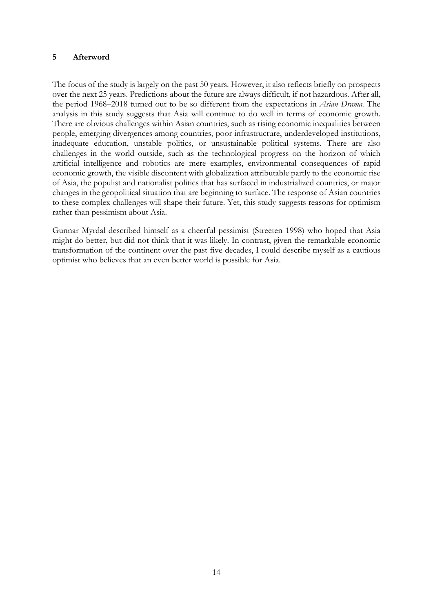### **5 Afterword**

The focus of the study is largely on the past 50 years. However, it also reflects briefly on prospects over the next 25 years. Predictions about the future are always difficult, if not hazardous. After all, the period 1968–2018 turned out to be so different from the expectations in *Asian Drama.* The analysis in this study suggests that Asia will continue to do well in terms of economic growth. There are obvious challenges within Asian countries, such as rising economic inequalities between people, emerging divergences among countries, poor infrastructure, underdeveloped institutions, inadequate education, unstable politics, or unsustainable political systems. There are also challenges in the world outside, such as the technological progress on the horizon of which artificial intelligence and robotics are mere examples, environmental consequences of rapid economic growth, the visible discontent with globalization attributable partly to the economic rise of Asia, the populist and nationalist politics that has surfaced in industrialized countries, or major changes in the geopolitical situation that are beginning to surface. The response of Asian countries to these complex challenges will shape their future. Yet, this study suggests reasons for optimism rather than pessimism about Asia.

Gunnar Myrdal described himself as a cheerful pessimist (Streeten 1998) who hoped that Asia might do better, but did not think that it was likely. In contrast, given the remarkable economic transformation of the continent over the past five decades, I could describe myself as a cautious optimist who believes that an even better world is possible for Asia.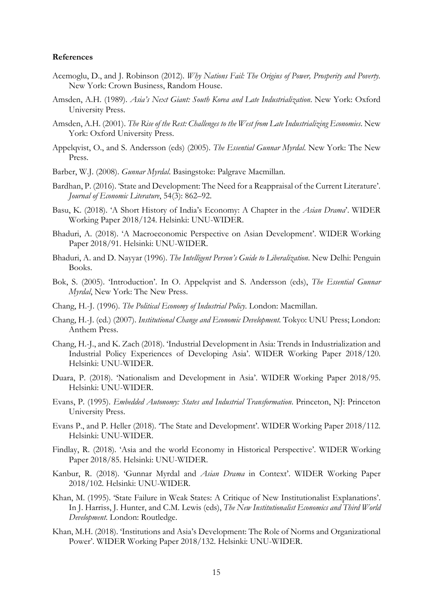#### **References**

- Acemoglu, D., and J. Robinson (2012). *Why Nations Fail: The Origins of Power, Prosperity and Poverty*. New York: Crown Business, Random House.
- Amsden, A.H. (1989). *Asia's Next Giant: South Korea and Late Industrialization*. New York: Oxford University Press.
- Amsden, A.H. (2001). *The Rise of the Rest: Challenges to the West from Late Industrializing Economies*. New York: Oxford University Press.
- Appelqvist, O., and S. Andersson (eds) (2005). *The Essential Gunnar Myrdal*. New York: The New Press.
- Barber, W.J. (2008). *Gunnar Myrdal*. Basingstoke: Palgrave Macmillan.
- Bardhan, P. (2016). 'State and Development: The Need for a Reappraisal of the Current Literature'. *Journal of Economic Literature*, 54(3): 862–92.
- Basu, K. (2018). 'A Short History of India's Economy: A Chapter in the *Asian Drama*'. WIDER Working Paper 2018/124. Helsinki: UNU-WIDER.
- Bhaduri, A. (2018). 'A Macroeconomic Perspective on Asian Development'. WIDER Working Paper 2018/91. Helsinki: UNU-WIDER.
- Bhaduri, A. and D. Nayyar (1996). *The Intelligent Person's Guide to Liberalization*. New Delhi: Penguin Books.
- Bok, S. (2005). 'Introduction'. In O. Appelqvist and S. Andersson (eds), *The Essential Gunnar Myrdal*, New York: The New Press.
- Chang, H.-J. (1996). *The Political Economy of Industrial Policy*. London: Macmillan.
- Chang, H.-J. (ed.) (2007). *Institutional Change and Economic Development.* Tokyo: UNU Press; London: Anthem Press.
- Chang, H.-J., and K. Zach (2018). 'Industrial Development in Asia: Trends in Industrialization and Industrial Policy Experiences of Developing Asia'. WIDER Working Paper 2018/120. Helsinki: UNU-WIDER.
- Duara, P. (2018). 'Nationalism and Development in Asia'. WIDER Working Paper 2018/95. Helsinki: UNU-WIDER.
- Evans, P. (1995). *Embedded Autonomy: States and Industrial Transformation*. Princeton, NJ: Princeton University Press.
- Evans P., and P. Heller (2018). 'The State and Development'. WIDER Working Paper 2018/112. Helsinki: UNU-WIDER.
- Findlay, R. (2018). 'Asia and the world Economy in Historical Perspective'. WIDER Working Paper 2018/85. Helsinki: UNU-WIDER.
- Kanbur, R. (2018). 'Gunnar Myrdal and *Asian Drama* in Context'. WIDER Working Paper 2018/102. Helsinki: UNU-WIDER.
- Khan, M. (1995). 'State Failure in Weak States: A Critique of New Institutionalist Explanations'. In J. Harriss, J. Hunter, and C.M. Lewis (eds), *The New Institutionalist Economics and Third World Development*. London: Routledge.
- Khan, M.H. (2018). 'Institutions and Asia's Development: The Role of Norms and Organizational Power'. WIDER Working Paper 2018/132. Helsinki: UNU-WIDER.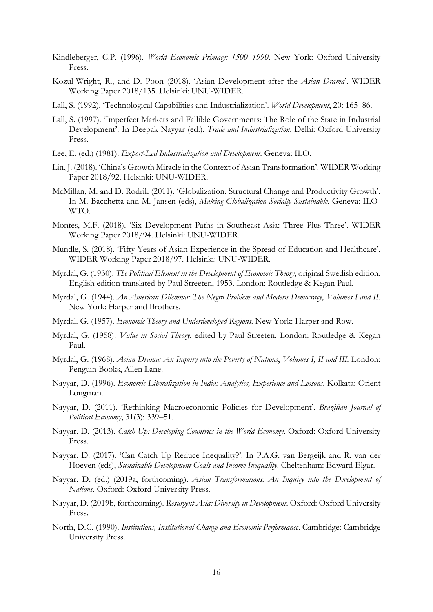- Kindleberger, C.P. (1996). *World Economic Primacy: 1500–1990*. New York: Oxford University Press.
- Kozul-Wright, R., and D. Poon (2018). 'Asian Development after the *Asian Drama*'. WIDER Working Paper 2018/135. Helsinki: UNU-WIDER.
- Lall, S. (1992). 'Technological Capabilities and Industrialization'. *World Development*, 20: 165–86.
- Lall, S. (1997). 'Imperfect Markets and Fallible Governments: The Role of the State in Industrial Development'. In Deepak Nayyar (ed.), *Trade and Industrialization*. Delhi: Oxford University Press.
- Lee, E. (ed.) (1981). *Export-Led Industrialization and Development*. Geneva: ILO.
- Lin, J. (2018). 'China's Growth Miracle in the Context of Asian Transformation'. WIDER Working Paper 2018/92. Helsinki: UNU-WIDER.
- McMillan, M. and D. Rodrik (2011). 'Globalization, Structural Change and Productivity Growth'. In M. Bacchetta and M. Jansen (eds), *Making Globalization Socially Sustainable*. Geneva: ILO-WTO.
- Montes, M.F. (2018). 'Six Development Paths in Southeast Asia: Three Plus Three'. WIDER Working Paper 2018/94. Helsinki: UNU-WIDER.
- Mundle, S. (2018). 'Fifty Years of Asian Experience in the Spread of Education and Healthcare'. WIDER Working Paper 2018/97. Helsinki: UNU-WIDER.
- Myrdal, G. (1930). *The Political Element in the Development of Economic Theory*, original Swedish edition. English edition translated by Paul Streeten, 1953. London: Routledge & Kegan Paul.
- Myrdal, G. (1944). *An American Dilemma: The Negro Problem and Modern Democracy*, *Volumes I and II*. New York: Harper and Brothers.
- Myrdal. G. (1957). *Economic Theory and Underdeveloped Regions*. New York: Harper and Row.
- Myrdal, G. (1958). *Value in Social Theory*, edited by Paul Streeten. London: Routledge & Kegan Paul.
- Myrdal, G. (1968). *Asian Drama: An Inquiry into the Poverty of Nations*, *Volumes I, II and III.* London: Penguin Books, Allen Lane.
- Nayyar, D. (1996). *Economic Liberalization in India: Analytics, Experience and Lessons*. Kolkata: Orient Longman.
- Nayyar, D. (2011). 'Rethinking Macroeconomic Policies for Development'. *Brazilian Journal of Political Economy*, 31(3): 339–51.
- Nayyar, D. (2013). *Catch Up: Developing Countries in the World Economy*. Oxford: Oxford University Press.
- Nayyar, D. (2017). 'Can Catch Up Reduce Inequality?'. In P.A.G. van Bergeijk and R. van der Hoeven (eds), *Sustainable Development Goals and Income Inequality*. Cheltenham: Edward Elgar.
- Nayyar, D. (ed.) (2019a, forthcoming). *Asian Transformations: An Inquiry into the Development of Nations*. Oxford: Oxford University Press.
- Nayyar, D. (2019b, forthcoming). *Resurgent Asia: Diversity in Development*. Oxford: Oxford University Press.
- North, D.C. (1990). *Institutions, Institutional Change and Economic Performance*. Cambridge: Cambridge University Press.